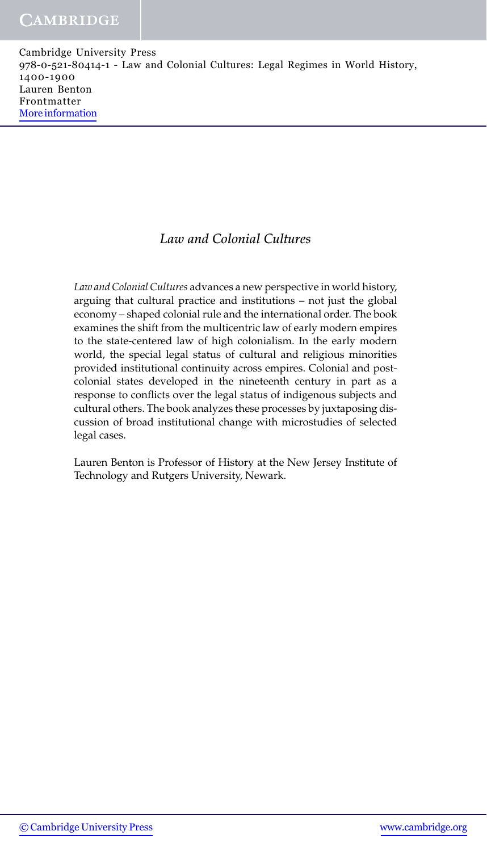### *Law and Colonial Cultures*

*Law and Colonial Cultures* advances a new perspective in world history, arguing that cultural practice and institutions – not just the global economy – shaped colonial rule and the international order. The book examines the shift from the multicentric law of early modern empires to the state-centered law of high colonialism. In the early modern world, the special legal status of cultural and religious minorities provided institutional continuity across empires. Colonial and postcolonial states developed in the nineteenth century in part as a response to conflicts over the legal status of indigenous subjects and cultural others. The book analyzes these processes by juxtaposing discussion of broad institutional change with microstudies of selected legal cases.

Lauren Benton is Professor of History at the New Jersey Institute of Technology and Rutgers University, Newark.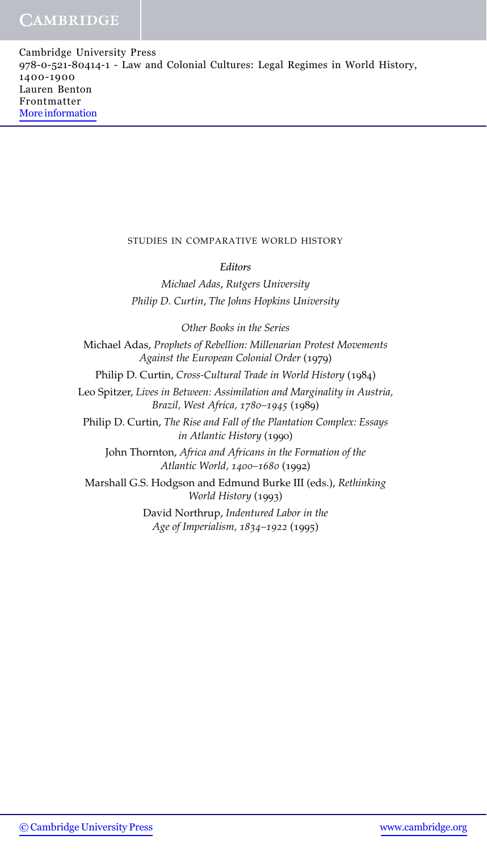### STUDIES IN COMPARATIVE WORLD HISTORY

*Editors*

*Michael Adas*, *Rutgers University Philip D. Curtin*, *The Johns Hopkins University*

*Other Books in the Series*

Michael Adas, *Prophets of Rebellion: Millenarian Protest Movements Against the European Colonial Order* (1979) Philip D. Curtin, *Cross-Cultural Trade in World History* (1984)

Leo Spitzer, *Lives in Between: Assimilation and Marginality in Austria, Brazil, West Africa, 1780–1945* (1989)

Philip D. Curtin, *The Rise and Fall of the Plantation Complex: Essays in Atlantic History* (1990)

John Thornton, *Africa and Africans in the Formation of the Atlantic World, 1400–1680* (1992)

Marshall G.S. Hodgson and Edmund Burke III (eds.), *Rethinking World History* (1993)

> David Northrup, *Indentured Labor in the Age of Imperialism, 1834–1922* (1995)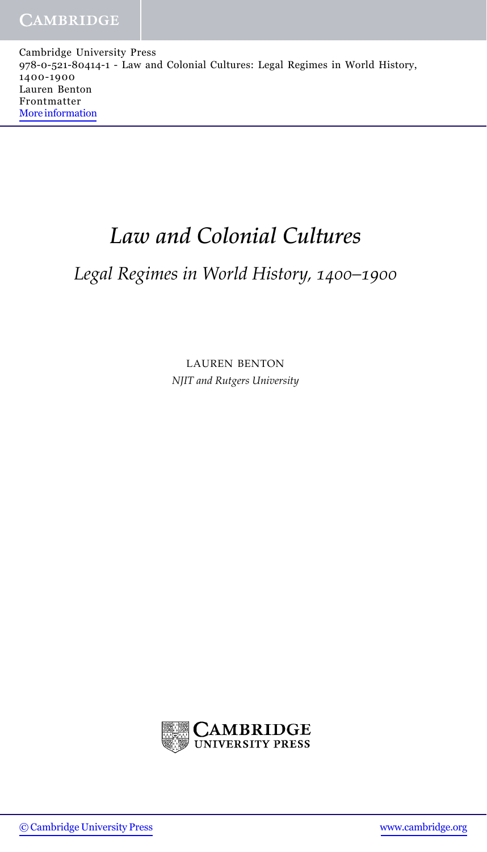# *Law and Colonial Cultures*

## *Legal Regimes in World History, 1400–1900*

LAUREN BENTON *NJIT and Rutgers University*

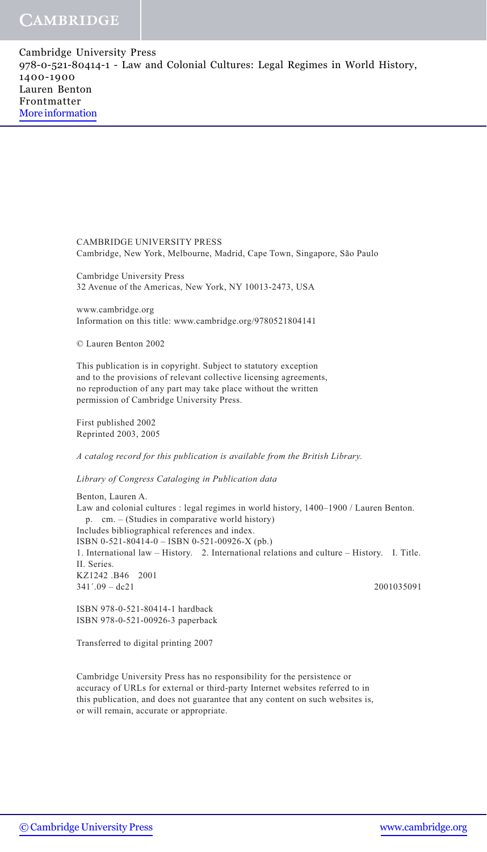> CAMBRIDGE UNIVERSITY PRESS Cambridge, New York, Melbourne, Madrid, Cape Town, Singapore, São Paulo

Cambridge University Press 32 Avenue of the Americas, New York, NY 10013-2473, USA

www.cambridge.org Information on this title: www.cambridge.org/9780521804141

© Lauren Benton 2002

This publication is in copyright. Subject to statutory exception and to the provisions of relevant collective licensing agreements, no reproduction of any part may take place without the written permission of Cambridge University Press.

First published 2002 Reprinted 2003, 2005

*A catalog record for this publication is available from the British Library.*

*Library of Congress Cataloging in Publication data*

Benton, Lauren A. Law and colonial cultures : legal regimes in world history, 1400–1900 / Lauren Benton. p. cm. – (Studies in comparative world history) Includes bibliographical references and index. ISBN 0-521-80414-0 – ISBN 0-521-00926-X (pb.) 1. International law – History. 2. International relations and culture – History. I. Title. II. Series. KZ1242 .B46 2001 341´.09 – dc21 2001035091

ISBN 978-0-521-80414-1 hardback ISBN 978-0-521-00926-3 paperback

Transferred to digital printing 2007

Cambridge University Press has no responsibility for the persistence or accuracy of URLs for external or third-party Internet websites referred to in this publication, and does not guarantee that any content on such websites is, or will remain, accurate or appropriate.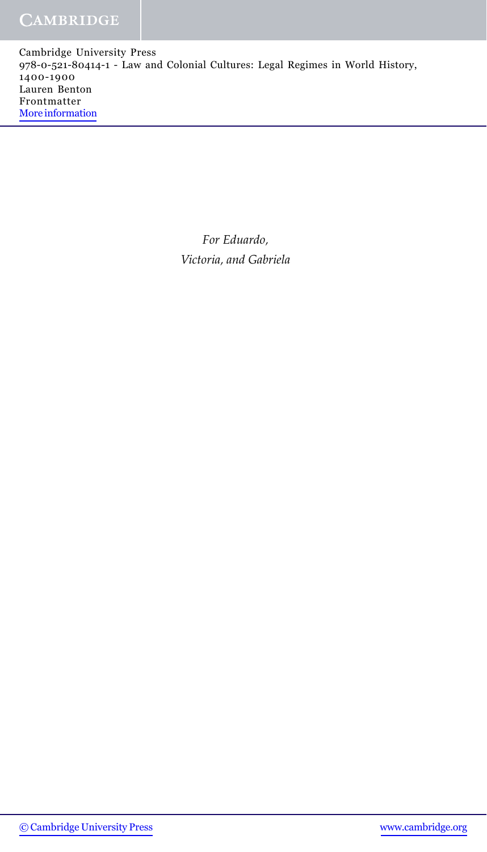> *For Eduardo, Victoria, and Gabriela*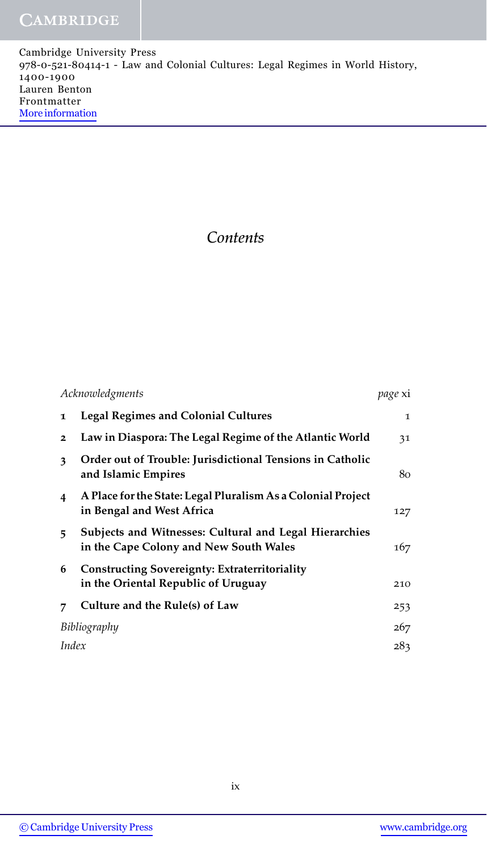## *Contents*

| Acknowledgments |                                                                                                  | <i>page</i> xi |
|-----------------|--------------------------------------------------------------------------------------------------|----------------|
| 1               | <b>Legal Regimes and Colonial Cultures</b>                                                       | 1              |
| $\overline{2}$  | Law in Diaspora: The Legal Regime of the Atlantic World                                          | 31             |
| 3               | Order out of Trouble: Jurisdictional Tensions in Catholic<br>and Islamic Empires                 | 80             |
| 4               | A Place for the State: Legal Pluralism As a Colonial Project<br>in Bengal and West Africa        | 127            |
| 5.              | Subjects and Witnesses: Cultural and Legal Hierarchies<br>in the Cape Colony and New South Wales | 167            |
| 6               | <b>Constructing Sovereignty: Extraterritoriality</b><br>in the Oriental Republic of Uruguay      | 210            |
| 7               | Culture and the Rule(s) of Law                                                                   | 253            |
| Bibliography    |                                                                                                  | 267            |
| Index           |                                                                                                  | 283            |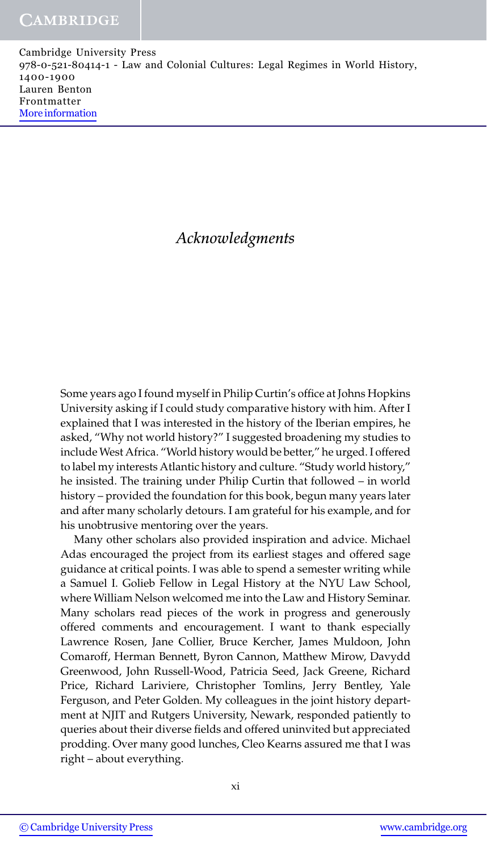## *Acknowledgments*

Some years ago I found myself in Philip Curtin's office at Johns Hopkins University asking if I could study comparative history with him. After I explained that I was interested in the history of the Iberian empires, he asked, "Why not world history?" I suggested broadening my studies to include West Africa. "World history would be better," he urged. I offered to label my interests Atlantic history and culture. "Study world history," he insisted. The training under Philip Curtin that followed – in world history – provided the foundation for this book, begun many years later and after many scholarly detours. I am grateful for his example, and for his unobtrusive mentoring over the years.

Many other scholars also provided inspiration and advice. Michael Adas encouraged the project from its earliest stages and offered sage guidance at critical points. I was able to spend a semester writing while a Samuel I. Golieb Fellow in Legal History at the NYU Law School, where William Nelson welcomed me into the Law and History Seminar. Many scholars read pieces of the work in progress and generously offered comments and encouragement. I want to thank especially Lawrence Rosen, Jane Collier, Bruce Kercher, James Muldoon, John Comaroff, Herman Bennett, Byron Cannon, Matthew Mirow, Davydd Greenwood, John Russell-Wood, Patricia Seed, Jack Greene, Richard Price, Richard Lariviere, Christopher Tomlins, Jerry Bentley, Yale Ferguson, and Peter Golden. My colleagues in the joint history department at NJIT and Rutgers University, Newark, responded patiently to queries about their diverse fields and offered uninvited but appreciated prodding. Over many good lunches, Cleo Kearns assured me that I was right – about everything.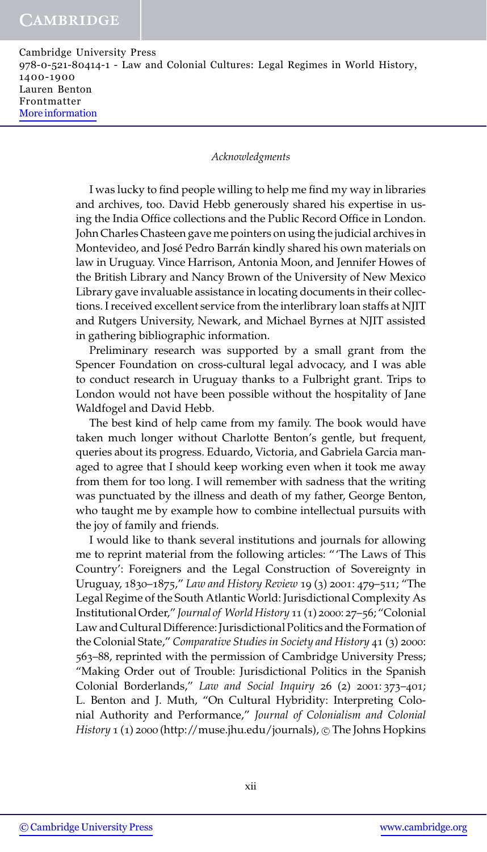#### *Acknowledgments*

I was lucky to find people willing to help me find my way in libraries and archives, too. David Hebb generously shared his expertise in using the India Office collections and the Public Record Office in London. John Charles Chasteen gave me pointers on using the judicial archives in Montevideo, and José Pedro Barrán kindly shared his own materials on law in Uruguay. Vince Harrison, Antonia Moon, and Jennifer Howes of the British Library and Nancy Brown of the University of New Mexico Library gave invaluable assistance in locating documents in their collections. I received excellent service from the interlibrary loan staffs at NJIT and Rutgers University, Newark, and Michael Byrnes at NJIT assisted in gathering bibliographic information.

Preliminary research was supported by a small grant from the Spencer Foundation on cross-cultural legal advocacy, and I was able to conduct research in Uruguay thanks to a Fulbright grant. Trips to London would not have been possible without the hospitality of Jane Waldfogel and David Hebb.

The best kind of help came from my family. The book would have taken much longer without Charlotte Benton's gentle, but frequent, queries about its progress. Eduardo, Victoria, and Gabriela Garcia managed to agree that I should keep working even when it took me away from them for too long. I will remember with sadness that the writing was punctuated by the illness and death of my father, George Benton, who taught me by example how to combine intellectual pursuits with the joy of family and friends.

I would like to thank several institutions and journals for allowing me to reprint material from the following articles: "'The Laws of This Country': Foreigners and the Legal Construction of Sovereignty in Uruguay, 1830–1875," *Law and History Review* 19 (3) 2001: 479–511; "The Legal Regime of the South Atlantic World: Jurisdictional Complexity As Institutional Order," *Journal of World History* 11 (1) 2000: 27–56; "Colonial Law and Cultural Difference: Jurisdictional Politics and the Formation of the Colonial State," *Comparative Studies in Society and History* 41 (3) 2000: 563–88, reprinted with the permission of Cambridge University Press; "Making Order out of Trouble: Jurisdictional Politics in the Spanish Colonial Borderlands," *Law and Social Inquiry* 26 (2) 2001: 373–401; L. Benton and J. Muth, "On Cultural Hybridity: Interpreting Colonial Authority and Performance," *Journal of Colonialism and Colonial* History 1 (1) 2000 (http://muse.jhu.edu/journals), @ The Johns Hopkins